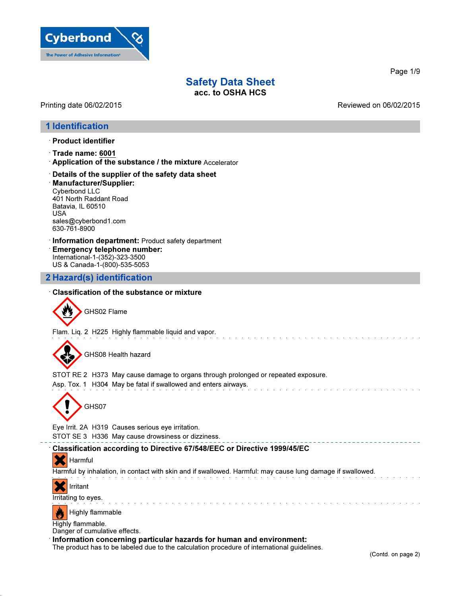

Printing date 06/02/2015 Reviewed on 06/02/2015

## 1 Identification

- · Product identifier
- · Trade name: 6001
- · Application of the substance / the mixture Accelerator
- · Details of the supplier of the safety data sheet
- · Manufacturer/Supplier: Cyberbond LLC 401 North Raddant Road Batavia, IL 60510 USA sales@cyberbond1.com 630-761-8900
- · Information department: Product safety department · Emergency telephone number: International-1-(352)-323-3500 US & Canada-1-(800)-535-5053

## 2 Hazard(s) identification

#### · Classification of the substance or mixture

GHS02 Flame

Flam. Liq. 2 H225 Highly flammable liquid and vapor.



GHS08 Health hazard

STOT RE 2 H373 May cause damage to organs through prolonged or repeated exposure.

Asp. Tox. 1 H304 May be fatal if swallowed and enters airways.



Eye Irrit. 2A H319 Causes serious eye irritation.

STOT SE 3 H336 May cause drowsiness or dizziness.

#### · Classification according to Directive 67/548/EEC or Directive 1999/45/EC

**X** Harmful

Harmful by inhalation, in contact with skin and if swallowed. Harmful: may cause lung damage if swallowed.



Irritating to eyes.



Highly flammable.

Danger of cumulative effects.

· Information concerning particular hazards for human and environment:

The product has to be labeled due to the calculation procedure of international guidelines.

Page 1/9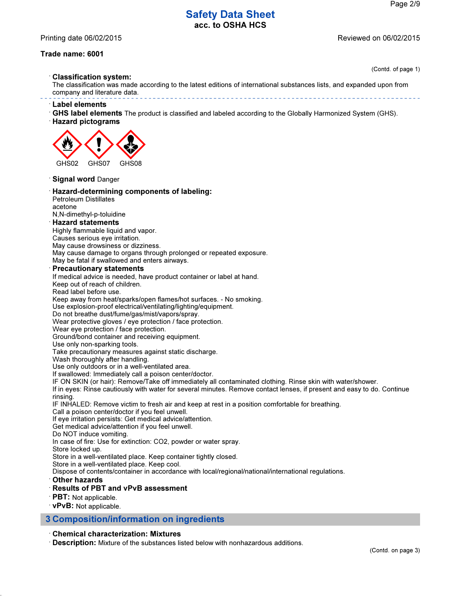Printing date 06/02/2015 Reviewed on 06/02/2015

#### Trade name: 6001

(Contd. of page 1)

· Classification system:

The classification was made according to the latest editions of international substances lists, and expanded upon from company and literature data. 

· Label elements

- · GHS label elements The product is classified and labeled according to the Globally Harmonized System (GHS).
- · Hazard pictograms



· Signal word Danger

- · Hazard-determining components of labeling:
- Petroleum Distillates acetone

N,N-dimethyl-p-toluidine

#### · Hazard statements

Highly flammable liquid and vapor.

Causes serious eye irritation.

May cause drowsiness or dizziness.

May cause damage to organs through prolonged or repeated exposure.

May be fatal if swallowed and enters airways.

#### **Precautionary statements**

If medical advice is needed, have product container or label at hand.

Keep out of reach of children.

Read label before use.

Keep away from heat/sparks/open flames/hot surfaces. - No smoking.

Use explosion-proof electrical/ventilating/lighting/equipment.

Do not breathe dust/fume/gas/mist/vapors/spray.

Wear protective gloves / eye protection / face protection.

Wear eye protection / face protection.

Ground/bond container and receiving equipment.

Use only non-sparking tools.

Take precautionary measures against static discharge.

Wash thoroughly after handling.

Use only outdoors or in a well-ventilated area.

If swallowed: Immediately call a poison center/doctor.

IF ON SKIN (or hair): Remove/Take off immediately all contaminated clothing. Rinse skin with water/shower.

If in eyes: Rinse cautiously with water for several minutes. Remove contact lenses, if present and easy to do. Continue rinsing.

IF INHALED: Remove victim to fresh air and keep at rest in a position comfortable for breathing.

Call a poison center/doctor if you feel unwell.

If eye irritation persists: Get medical advice/attention.

Get medical advice/attention if you feel unwell.

Do NOT induce vomiting.

In case of fire: Use for extinction: CO2, powder or water spray.

Store locked up.

Store in a well-ventilated place. Keep container tightly closed.

Store in a well-ventilated place. Keep cool.

Dispose of contents/container in accordance with local/regional/national/international regulations.

· Other hazards

#### · Results of PBT and vPvB assessment

· PBT: Not applicable.

· vPvB: Not applicable.

#### 3 Composition/information on ingredients

#### · Chemical characterization: Mixtures

· Description: Mixture of the substances listed below with nonhazardous additions.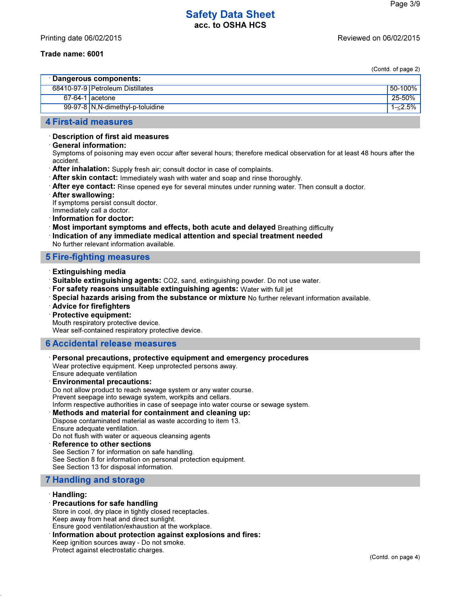#### Trade name: 6001

(Contd. of page 2)

|                         |                                   | $\sim$ $\sim$ . page $\sim$ / |  |  |
|-------------------------|-----------------------------------|-------------------------------|--|--|
| ∴ Dangerous components: |                                   |                               |  |  |
|                         | 68410-97-9 Petroleum Distillates  | 50-100%                       |  |  |
| $67-64-1$ acetone       |                                   | 25-50%                        |  |  |
|                         | 99-97-8 N, N-dimethyl-p-toluidine | $1 - 2.5\%$                   |  |  |
|                         |                                   |                               |  |  |

# 4 First-aid measures

# · Description of first aid measures

· General information:

Symptoms of poisoning may even occur after several hours; therefore medical observation for at least 48 hours after the accident.

- · After inhalation: Supply fresh air; consult doctor in case of complaints.
- $\cdot$  After skin contact: Immediately wash with water and soap and rinse thoroughly.
- $\cdot$  After eye contact: Rinse opened eye for several minutes under running water. Then consult a doctor.
- · After swallowing:

If symptoms persist consult doctor.

Immediately call a doctor.

- · Information for doctor:
- · Most important symptoms and effects, both acute and delayed Breathing difficulty

· Indication of any immediate medical attention and special treatment needed No further relevant information available.

## 5 Fire-fighting measures

- · Extinguishing media
- · Suitable extinguishing agents: CO2, sand, extinguishing powder. Do not use water.
- · For safety reasons unsuitable extinguishing agents: Water with full jet
- · Special hazards arising from the substance or mixture No further relevant information available.
- · Advice for firefighters
- · Protective equipment:

Mouth respiratory protective device.

Wear self-contained respiratory protective device.

#### 6 Accidental release measures

· Personal precautions, protective equipment and emergency procedures

Wear protective equipment. Keep unprotected persons away. Ensure adequate ventilation

## · Environmental precautions:

Do not allow product to reach sewage system or any water course.

Prevent seepage into sewage system, workpits and cellars.

Inform respective authorities in case of seepage into water course or sewage system.

#### · Methods and material for containment and cleaning up:

Dispose contaminated material as waste according to item 13. Ensure adequate ventilation.

Do not flush with water or aqueous cleansing agents

#### Reference to other sections

See Section 7 for information on safe handling. See Section 8 for information on personal protection equipment. See Section 13 for disposal information.

## 7 Handling and storage

#### · Handling:

#### · Precautions for safe handling

Store in cool, dry place in tightly closed receptacles.

Keep away from heat and direct sunlight.

Ensure good ventilation/exhaustion at the workplace.

· Information about protection against explosions and fires:

Keep ignition sources away - Do not smoke.

Protect against electrostatic charges.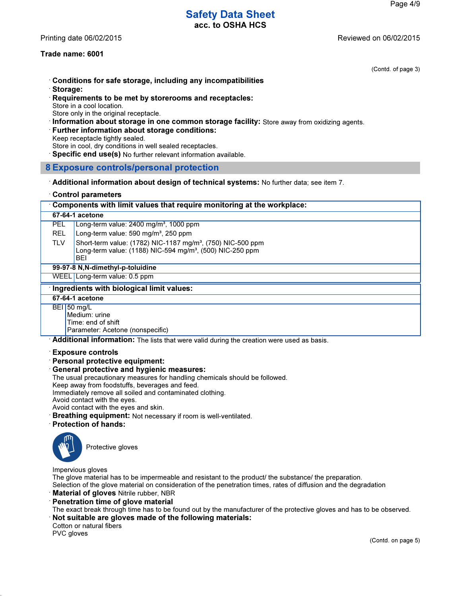# Safety Data Sheet

acc. to OSHA HCS

Printing date 06/02/2015 Reviewed on 06/02/2015

#### Trade name: 6001

(Contd. of page 3)

- · Conditions for safe storage, including any incompatibilities
- · Storage:
- · Requirements to be met by storerooms and receptacles: Store in a cool location. Store only in the original receptacle.
- · Information about storage in one common storage facility: Store away from oxidizing agents.
- · Further information about storage conditions:

Keep receptacle tightly sealed.

- Store in cool, dry conditions in well sealed receptacles.
- · Specific end use(s) No further relevant information available.
- 8 Exposure controls/personal protection
- · Additional information about design of technical systems: No further data; see item 7.
- · Control parameters

| Components with limit values that require monitoring at the workplace:                    |                                                                                                                                                         |  |  |
|-------------------------------------------------------------------------------------------|---------------------------------------------------------------------------------------------------------------------------------------------------------|--|--|
|                                                                                           | 67-64-1 acetone                                                                                                                                         |  |  |
| <b>PEL</b>                                                                                | Long-term value: $2400 \text{ mg/m}^3$ , 1000 ppm                                                                                                       |  |  |
| <b>REL</b>                                                                                | Long-term value: 590 mg/m <sup>3</sup> , 250 ppm                                                                                                        |  |  |
| <b>TLV</b>                                                                                | Short-term value: (1782) NIC-1187 mg/m <sup>3</sup> , (750) NIC-500 ppm<br>Long-term value: (1188) NIC-594 mg/m <sup>3</sup> , (500) NIC-250 ppm<br>BEI |  |  |
| 99-97-8 N, N-dimethyl-p-toluidine                                                         |                                                                                                                                                         |  |  |
|                                                                                           | WEEL Long-term value: 0.5 ppm                                                                                                                           |  |  |
| Ingredients with biological limit values:                                                 |                                                                                                                                                         |  |  |
| 67-64-1 acetone                                                                           |                                                                                                                                                         |  |  |
|                                                                                           | BEI 50 mg/L<br>Medium: urine<br>Time: end of shift<br>Parameter: Acetone (nonspecific)                                                                  |  |  |
| Additional information: The lists that were valid during the creation were used as basis. |                                                                                                                                                         |  |  |

#### · Exposure controls

· Personal protective equipment:

#### · General protective and hygienic measures:

The usual precautionary measures for handling chemicals should be followed.

Keep away from foodstuffs, beverages and feed.

Immediately remove all soiled and contaminated clothing.

Avoid contact with the eyes.

Avoid contact with the eyes and skin.

- · Breathing equipment: Not necessary if room is well-ventilated.
- · Protection of hands:



Protective gloves

Impervious gloves

The glove material has to be impermeable and resistant to the product/ the substance/ the preparation.

Selection of the glove material on consideration of the penetration times, rates of diffusion and the degradation

- **Material of gloves Nitrile rubber, NBR**
- Penetration time of glove material

The exact break through time has to be found out by the manufacturer of the protective gloves and has to be observed.

Not suitable are gloves made of the following materials:

Cotton or natural fibers

PVC gloves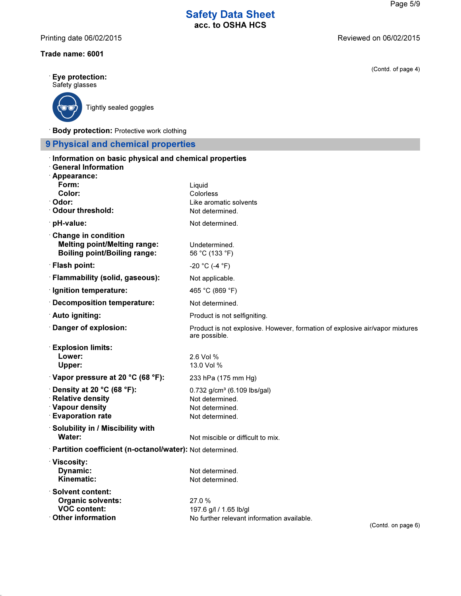Printing date 06/02/2015 **Printing date 06/02/2015** 

## Trade name: 6001

· Eye protection: Safety glasses



Tightly sealed goggles

· Body protection: Protective work clothing

# 9 Physical and chemical properties

| Information on basic physical and chemical properties<br><b>General Information</b>                      |                                                                                               |
|----------------------------------------------------------------------------------------------------------|-----------------------------------------------------------------------------------------------|
| Appearance:                                                                                              |                                                                                               |
| Form:                                                                                                    | Liquid                                                                                        |
| Color:                                                                                                   | Colorless                                                                                     |
| Odor:<br><b>Odour threshold:</b>                                                                         | Like aromatic solvents<br>Not determined.                                                     |
| pH-value:                                                                                                | Not determined.                                                                               |
|                                                                                                          |                                                                                               |
| <b>Change in condition</b><br><b>Melting point/Melting range:</b><br><b>Boiling point/Boiling range:</b> | Undetermined.<br>56 °C (133 °F)                                                               |
| · Flash point:                                                                                           | $-20$ °C (-4 °F)                                                                              |
| · Flammability (solid, gaseous):                                                                         | Not applicable.                                                                               |
| · Ignition temperature:                                                                                  | 465 °C (869 °F)                                                                               |
| <b>Decomposition temperature:</b>                                                                        | Not determined.                                                                               |
| Auto igniting:                                                                                           | Product is not selfigniting.                                                                  |
| Danger of explosion:                                                                                     | Product is not explosive. However, formation of explosive air/vapor mixtures<br>are possible. |
| <b>Explosion limits:</b>                                                                                 |                                                                                               |
| Lower:                                                                                                   | 2.6 Vol %                                                                                     |
| Upper:                                                                                                   | 13.0 Vol %                                                                                    |
| Vapor pressure at 20 °C (68 °F):                                                                         | 233 hPa (175 mm Hg)                                                                           |
| $\cdot$ Density at 20 °C (68 °F):                                                                        | $0.732$ g/cm <sup>3</sup> (6.109 lbs/gal)                                                     |
| <b>Relative density</b>                                                                                  | Not determined.                                                                               |
| <b>Vapour density</b><br><b>Evaporation rate</b>                                                         | Not determined.<br>Not determined.                                                            |
| Solubility in / Miscibility with                                                                         |                                                                                               |
| <b>Water:</b>                                                                                            | Not miscible or difficult to mix.                                                             |
| · Partition coefficient (n-octanol/water): Not determined.                                               |                                                                                               |
| <b>Viscosity:</b>                                                                                        |                                                                                               |
| Dynamic:                                                                                                 | Not determined.                                                                               |
| Kinematic:                                                                                               | Not determined.                                                                               |
| $\cdot$ Solvent content:                                                                                 |                                                                                               |
| <b>Organic solvents:</b><br><b>VOC content:</b>                                                          | 27.0 %                                                                                        |
| Other information                                                                                        | 197.6 g/l / 1.65 lb/gl<br>No further relevant information available.                          |
|                                                                                                          |                                                                                               |

(Contd. of page 4)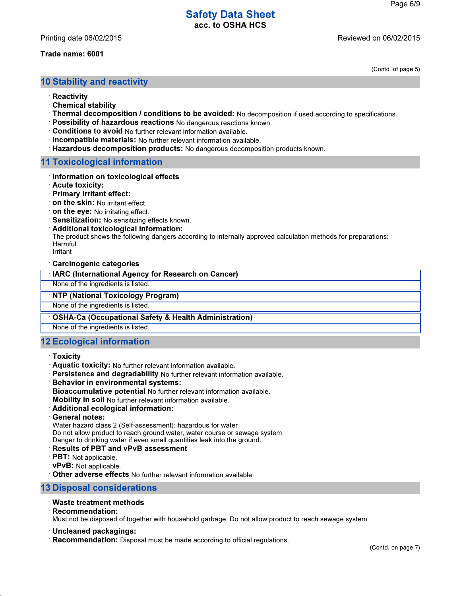#### Trade name: 6001

(Contd. of page 5)

### 10 Stability and reactivity

- · Reactivity
- · Chemical stability
- · Thermal decomposition / conditions to be avoided: No decomposition if used according to specifications.
- · Possibility of hazardous reactions No dangerous reactions known.
- · Conditions to avoid No further relevant information available.
- · Incompatible materials: No further relevant information available.
- · Hazardous decomposition products: No dangerous decomposition products known.

### 11 Toxicological information

- · Information on toxicological effects
- · Acute toxicity:
- · Primary irritant effect:
- · on the skin: No irritant effect.
- · on the eye: No irritating effect.
- · Sensitization: No sensitizing effects known.
- · Additional toxicological information:

The product shows the following dangers according to internally approved calculation methods for preparations: Harmful

Irritant

· Carcinogenic categories

#### · IARC (International Agency for Research on Cancer)

None of the ingredients is listed.

· NTP (National Toxicology Program)

None of the ingredients is listed.

#### · OSHA-Ca (Occupational Safety & Health Administration)

None of the ingredients is listed.

## 12 Ecological information

#### · Toxicity

- · Aquatic toxicity: No further relevant information available.
- · Persistence and degradability No further relevant information available.
- · Behavior in environmental systems:
- · Bioaccumulative potential No further relevant information available.
- · Mobility in soil No further relevant information available.
- · Additional ecological information:
- · General notes:

Water hazard class 2 (Self-assessment): hazardous for water

Do not allow product to reach ground water, water course or sewage system.

Danger to drinking water if even small quantities leak into the ground.

#### · Results of PBT and vPvB assessment

- $\cdot$  PBT: Not applicable.
- · vPvB: Not applicable.

· Other adverse effects No further relevant information available.

#### 13 Disposal considerations

#### · Waste treatment methods

· Recommendation:

Must not be disposed of together with household garbage. Do not allow product to reach sewage system.

#### · Uncleaned packagings:

· Recommendation: Disposal must be made according to official regulations.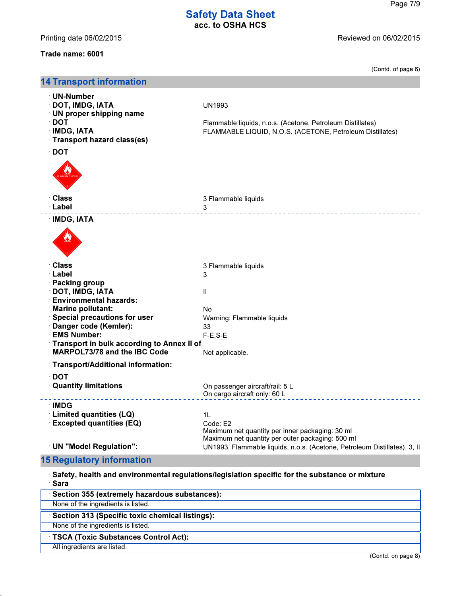Printing date 06/02/2015 **Printing date 06/02/2015** 

# Trade name: 6001

(Contd. of page 6)

| <b>14 Transport information</b>                                                                                                                                                                                                                                                                                    |                                                                                                                                                                                                    |
|--------------------------------------------------------------------------------------------------------------------------------------------------------------------------------------------------------------------------------------------------------------------------------------------------------------------|----------------------------------------------------------------------------------------------------------------------------------------------------------------------------------------------------|
| · UN-Number<br><b>DOT, IMDG, IATA</b><br><b>UN proper shipping name</b><br>$\cdot$ DOT<br><b>IMDG, IATA</b><br>Transport hazard class(es)<br>$\cdot$ DOT                                                                                                                                                           | <b>UN1993</b><br>Flammable liquids, n.o.s. (Acetone, Petroleum Distillates)<br>FLAMMABLE LIQUID, N.O.S. (ACETONE, Petroleum Distillates)                                                           |
| · Class<br>· Label                                                                                                                                                                                                                                                                                                 | 3 Flammable liquids<br>3                                                                                                                                                                           |
| ∴IMDG, IATA                                                                                                                                                                                                                                                                                                        |                                                                                                                                                                                                    |
| <b>Class</b><br>· Label<br><b>∶Packing group</b><br><b>DOT, IMDG, IATA</b><br><b>Environmental hazards:</b><br><b>Marine pollutant:</b><br><b>Special precautions for user</b><br>Danger code (Kemler):<br><b>EMS Number:</b><br>Transport in bulk according to Annex II of<br><b>MARPOL73/78 and the IBC Code</b> | 3 Flammable liquids<br>3<br>Ш<br>No<br>Warning: Flammable liquids<br>33<br>$F-E, S-E$<br>Not applicable.                                                                                           |
| · Transport/Additional information:<br>$\cdot$ DOT<br><b>Quantity limitations</b>                                                                                                                                                                                                                                  | On passenger aircraft/rail: 5 L<br>On cargo aircraft only: 60 L                                                                                                                                    |
| <b>IMDG</b><br><b>Limited quantities (LQ)</b><br><b>Excepted quantities (EQ)</b><br>· UN "Model Regulation":                                                                                                                                                                                                       | 11<br>Code: E2<br>Maximum net quantity per inner packaging: 30 ml<br>Maximum net quantity per outer packaging: 500 ml<br>UN1993, Flammable liquids, n.o.s. (Acetone, Petroleum Distillates), 3, II |
| <b>15 Regulatory information</b>                                                                                                                                                                                                                                                                                   |                                                                                                                                                                                                    |
| · Sara                                                                                                                                                                                                                                                                                                             | Safety, health and environmental regulations/legislation specific for the substance or mixture                                                                                                     |
| Section 355 (extremely hazardous substances):<br>None of the ingredients is listed.                                                                                                                                                                                                                                |                                                                                                                                                                                                    |
| Section 313 (Specific toxic chemical listings):                                                                                                                                                                                                                                                                    |                                                                                                                                                                                                    |
| None of the ingredients is listed.                                                                                                                                                                                                                                                                                 |                                                                                                                                                                                                    |
| <b>TSCA (Toxic Substances Control Act):</b>                                                                                                                                                                                                                                                                        |                                                                                                                                                                                                    |
| All ingredients are listed.                                                                                                                                                                                                                                                                                        |                                                                                                                                                                                                    |
|                                                                                                                                                                                                                                                                                                                    | (Contd. on page 8)                                                                                                                                                                                 |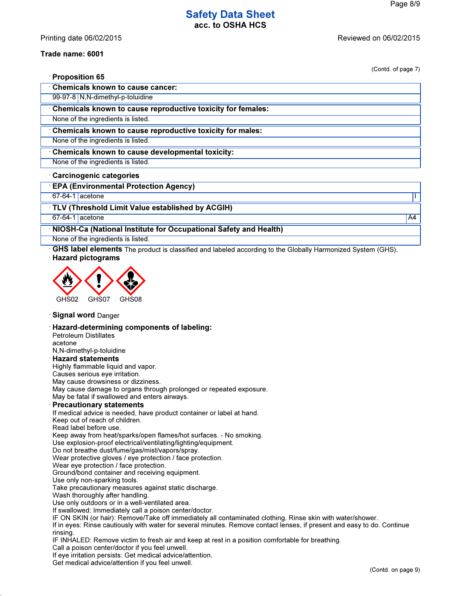#### Trade name: 6001

| (Contd. of page 7)                                                                                                  |    |
|---------------------------------------------------------------------------------------------------------------------|----|
| <b>Proposition 65</b>                                                                                               |    |
| <b>Chemicals known to cause cancer:</b>                                                                             |    |
| 99-97-8 N,N-dimethyl-p-toluidine                                                                                    |    |
| Chemicals known to cause reproductive toxicity for females:                                                         |    |
| None of the ingredients is listed.                                                                                  |    |
| Chemicals known to cause reproductive toxicity for males:                                                           |    |
| None of the ingredients is listed.                                                                                  |    |
| Chemicals known to cause developmental toxicity:                                                                    |    |
| None of the ingredients is listed.                                                                                  |    |
| <b>Carcinogenic categories</b>                                                                                      |    |
| <b>EPA (Environmental Protection Agency)</b>                                                                        |    |
| 67-64-1 acetone                                                                                                     | L  |
| TLV (Threshold Limit Value established by ACGIH)                                                                    |    |
| 67-64-1 acetone                                                                                                     | A4 |
| NIOSH-Ca (National Institute for Occupational Safety and Health)                                                    |    |
| None of the ingredients is listed.                                                                                  |    |
| GHS label elements The product is classified and labeled according to the Globally Harmonized System (GHS).         |    |
| GHS07<br>GHS02<br>GHS08                                                                                             |    |
| <b>Signal word Danger</b>                                                                                           |    |
| Hazard-determining components of labeling:<br><b>Petroleum Distillates</b><br>acetone<br>N,N-dimethyl-p-toluidine   |    |
| <b>Hazard statements</b><br>Highly flammable liquid and vapor.                                                      |    |
| Causes serious eye irritation.                                                                                      |    |
| May cause drowsiness or dizziness.                                                                                  |    |
| May cause damage to organs through prolonged or repeated exposure.<br>May be fatal if swallowed and enters airways. |    |
| <b>Precautionary statements</b>                                                                                     |    |
| If medical advice is needed, have product container or label at hand.<br>Keep out of reach of children.             |    |
| Read label before use.                                                                                              |    |
| Keep away from heat/sparks/open flames/hot surfaces. - No smoking.                                                  |    |
| Use explosion-proof electrical/ventilating/lighting/equipment.                                                      |    |
| Do not breathe dust/fume/gas/mist/vapors/spray.<br>Wear protective gloves / eye protection / face protection.       |    |
| Wear eye protection / face protection.                                                                              |    |

Ground/bond container and receiving equipment.

Use only non-sparking tools.

Take precautionary measures against static discharge.

Wash thoroughly after handling.

Use only outdoors or in a well-ventilated area.

If swallowed: Immediately call a poison center/doctor.

IF ON SKIN (or hair): Remove/Take off immediately all contaminated clothing. Rinse skin with water/shower.

If in eyes: Rinse cautiously with water for several minutes. Remove contact lenses, if present and easy to do. Continue rinsing.

IF INHALED: Remove victim to fresh air and keep at rest in a position comfortable for breathing.

Call a poison center/doctor if you feel unwell.

If eye irritation persists: Get medical advice/attention.

Get medical advice/attention if you feel unwell.